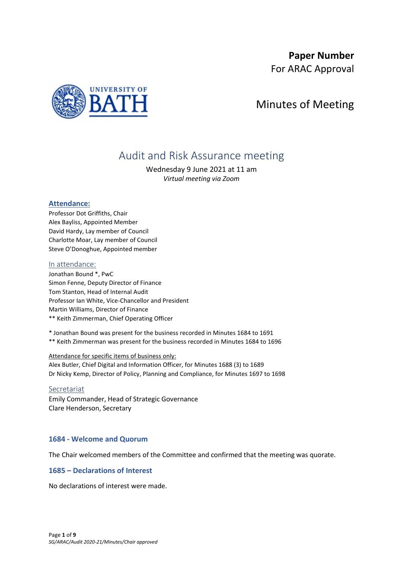## **Paper Number**

For ARAC Approval



# Minutes of Meeting

# Audit and Risk Assurance meeting

Wednesday 9 June 2021 at 11 am *Virtual meeting via Zoom*

### **Attendance:**

Professor Dot Griffiths, Chair Alex Bayliss, Appointed Member David Hardy, Lay member of Council Charlotte Moar, Lay member of Council Steve O'Donoghue, Appointed member

### In attendance:

Jonathan Bound \*, PwC Simon Fenne, Deputy Director of Finance Tom Stanton, Head of Internal Audit Professor Ian White, Vice-Chancellor and President Martin Williams, Director of Finance \*\* Keith Zimmerman, Chief Operating Officer

\* Jonathan Bound was present for the business recorded in Minutes 1684 to 1691 \*\* Keith Zimmerman was present for the business recorded in Minutes 1684 to 1696

### Attendance for specific items of business only:

Alex Butler, Chief Digital and Information Officer, for Minutes 1688 (3) to 1689 Dr Nicky Kemp, Director of Policy, Planning and Compliance, for Minutes 1697 to 1698

### Secretariat

Emily Commander, Head of Strategic Governance Clare Henderson, Secretary

### **1684 - Welcome and Quorum**

The Chair welcomed members of the Committee and confirmed that the meeting was quorate.

### **1685 – Declarations of Interest**

No declarations of interest were made.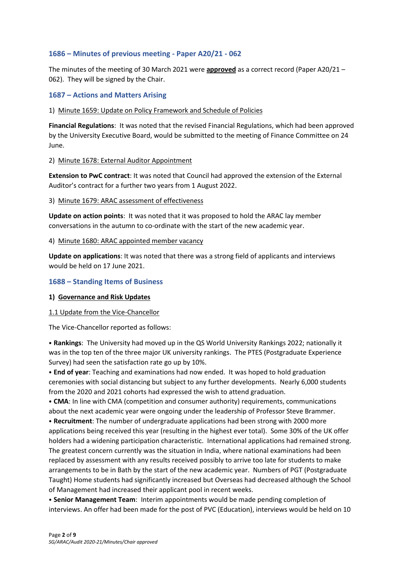### **1686 – Minutes of previous meeting - Paper A20/21 - 062**

The minutes of the meeting of 30 March 2021 were **approved** as a correct record (Paper A20/21 – 062). They will be signed by the Chair.

### **1687 – Actions and Matters Arising**

### 1) Minute 1659: Update on Policy Framework and Schedule of Policies

**Financial Regulations**: It was noted that the revised Financial Regulations, which had been approved by the University Executive Board, would be submitted to the meeting of Finance Committee on 24 June.

### 2) Minute 1678: External Auditor Appointment

**Extension to PwC contract**: It was noted that Council had approved the extension of the External Auditor's contract for a further two years from 1 August 2022.

### 3) Minute 1679: ARAC assessment of effectiveness

**Update on action points**: It was noted that it was proposed to hold the ARAC lay member conversations in the autumn to co-ordinate with the start of the new academic year.

### 4) Minute 1680: ARAC appointed member vacancy

**Update on applications**: It was noted that there was a strong field of applicants and interviews would be held on 17 June 2021.

### **1688 – Standing Items of Business**

### **1) Governance and Risk Updates**

### 1.1 Update from the Vice-Chancellor

The Vice-Chancellor reported as follows:

⦁ **Rankings**: The University had moved up in the QS World University Rankings 2022; nationally it was in the top ten of the three major UK university rankings. The PTES (Postgraduate Experience Survey) had seen the satisfaction rate go up by 10%.

⦁ **End of year**: Teaching and examinations had now ended. It was hoped to hold graduation ceremonies with social distancing but subject to any further developments. Nearly 6,000 students from the 2020 and 2021 cohorts had expressed the wish to attend graduation.

⦁ **CMA**: In line with CMA (competition and consumer authority) requirements, communications about the next academic year were ongoing under the leadership of Professor Steve Brammer.

⦁ **Recruitment**: The number of undergraduate applications had been strong with 2000 more applications being received this year (resulting in the highest ever total). Some 30% of the UK offer holders had a widening participation characteristic. International applications had remained strong. The greatest concern currently was the situation in India, where national examinations had been replaced by assessment with any results received possibly to arrive too late for students to make arrangements to be in Bath by the start of the new academic year. Numbers of PGT (Postgraduate Taught) Home students had significantly increased but Overseas had decreased although the School of Management had increased their applicant pool in recent weeks.

⦁ **Senior Management Team**: Interim appointments would be made pending completion of interviews. An offer had been made for the post of PVC (Education), interviews would be held on 10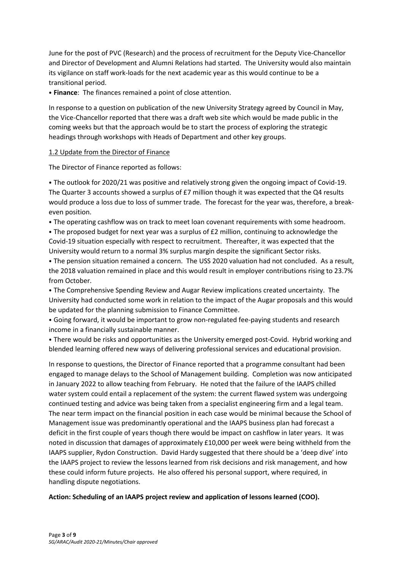June for the post of PVC (Research) and the process of recruitment for the Deputy Vice-Chancellor and Director of Development and Alumni Relations had started. The University would also maintain its vigilance on staff work-loads for the next academic year as this would continue to be a transitional period.

⦁ **Finance**: The finances remained a point of close attention.

In response to a question on publication of the new University Strategy agreed by Council in May, the Vice-Chancellor reported that there was a draft web site which would be made public in the coming weeks but that the approach would be to start the process of exploring the strategic headings through workshops with Heads of Department and other key groups.

### 1.2 Update from the Director of Finance

The Director of Finance reported as follows:

⦁ The outlook for 2020/21 was positive and relatively strong given the ongoing impact of Covid-19. The Quarter 3 accounts showed a surplus of £7 million though it was expected that the Q4 results would produce a loss due to loss of summer trade. The forecast for the year was, therefore, a breakeven position.

⦁ The operating cashflow was on track to meet loan covenant requirements with some headroom.

⦁ The proposed budget for next year was a surplus of £2 million, continuing to acknowledge the Covid-19 situation especially with respect to recruitment. Thereafter, it was expected that the University would return to a normal 3% surplus margin despite the significant Sector risks.

⦁ The pension situation remained a concern. The USS 2020 valuation had not concluded. As a result, the 2018 valuation remained in place and this would result in employer contributions rising to 23.7% from October.

⦁ The Comprehensive Spending Review and Augar Review implications created uncertainty. The University had conducted some work in relation to the impact of the Augar proposals and this would be updated for the planning submission to Finance Committee.

⦁ Going forward, it would be important to grow non-regulated fee-paying students and research income in a financially sustainable manner.

⦁ There would be risks and opportunities as the University emerged post-Covid. Hybrid working and blended learning offered new ways of delivering professional services and educational provision.

In response to questions, the Director of Finance reported that a programme consultant had been engaged to manage delays to the School of Management building. Completion was now anticipated in January 2022 to allow teaching from February. He noted that the failure of the IAAPS chilled water system could entail a replacement of the system: the current flawed system was undergoing continued testing and advice was being taken from a specialist engineering firm and a legal team. The near term impact on the financial position in each case would be minimal because the School of Management issue was predominantly operational and the IAAPS business plan had forecast a deficit in the first couple of years though there would be impact on cashflow in later years. It was noted in discussion that damages of approximately £10,000 per week were being withheld from the IAAPS supplier, Rydon Construction. David Hardy suggested that there should be a 'deep dive' into the IAAPS project to review the lessons learned from risk decisions and risk management, and how these could inform future projects. He also offered his personal support, where required, in handling dispute negotiations.

**Action: Scheduling of an IAAPS project review and application of lessons learned (COO).**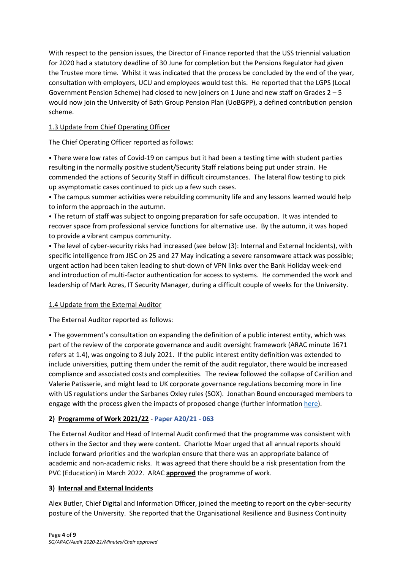With respect to the pension issues, the Director of Finance reported that the USS triennial valuation for 2020 had a statutory deadline of 30 June for completion but the Pensions Regulator had given the Trustee more time. Whilst it was indicated that the process be concluded by the end of the year, consultation with employers, UCU and employees would test this. He reported that the LGPS (Local Government Pension Scheme) had closed to new joiners on 1 June and new staff on Grades 2 – 5 would now join the University of Bath Group Pension Plan (UoBGPP), a defined contribution pension scheme.

### 1.3 Update from Chief Operating Officer

The Chief Operating Officer reported as follows:

⦁ There were low rates of Covid-19 on campus but it had been a testing time with student parties resulting in the normally positive student/Security Staff relations being put under strain. He commended the actions of Security Staff in difficult circumstances. The lateral flow testing to pick up asymptomatic cases continued to pick up a few such cases.

⦁ The campus summer activities were rebuilding community life and any lessons learned would help to inform the approach in the autumn.

⦁ The return of staff was subject to ongoing preparation for safe occupation. It was intended to recover space from professional service functions for alternative use. By the autumn, it was hoped to provide a vibrant campus community.

⦁ The level of cyber-security risks had increased (see below (3): Internal and External Incidents), with specific intelligence from JISC on 25 and 27 May indicating a severe ransomware attack was possible; urgent action had been taken leading to shut-down of VPN links over the Bank Holiday week-end and introduction of multi-factor authentication for access to systems. He commended the work and leadership of Mark Acres, IT Security Manager, during a difficult couple of weeks for the University.

### 1.4 Update from the External Auditor

The External Auditor reported as follows:

⦁ The government's consultation on expanding the definition of a public interest entity, which was part of the review of the corporate governance and audit oversight framework (ARAC minute 1671 refers at 1.4), was ongoing to 8 July 2021. If the public interest entity definition was extended to include universities, putting them under the remit of the audit regulator, there would be increased compliance and associated costs and complexities. The review followed the collapse of Carillion and Valerie Patisserie, and might lead to UK corporate governance regulations becoming more in line with US regulations under the Sarbanes Oxley rules (SOX). Jonathan Bound encouraged members to engage with the process given the impacts of proposed change (further information [here\)](https://www.pwc.co.uk/services/audit/insights/restoring-trust-audit-corporate-governance.html).

### **2) Programme of Work 2021/22** - **Paper A20/21 - 063**

The External Auditor and Head of Internal Audit confirmed that the programme was consistent with others in the Sector and they were content. Charlotte Moar urged that all annual reports should include forward priorities and the workplan ensure that there was an appropriate balance of academic and non-academic risks. It was agreed that there should be a risk presentation from the PVC (Education) in March 2022. ARAC **approved** the programme of work.

### **3) Internal and External Incidents**

Alex Butler, Chief Digital and Information Officer, joined the meeting to report on the cyber-security posture of the University. She reported that the Organisational Resilience and Business Continuity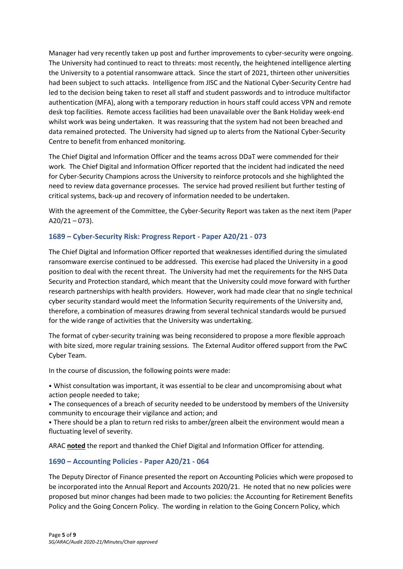Manager had very recently taken up post and further improvements to cyber-security were ongoing. The University had continued to react to threats: most recently, the heightened intelligence alerting the University to a potential ransomware attack. Since the start of 2021, thirteen other universities had been subject to such attacks. Intelligence from JISC and the National Cyber-Security Centre had led to the decision being taken to reset all staff and student passwords and to introduce multifactor authentication (MFA), along with a temporary reduction in hours staff could access VPN and remote desk top facilities. Remote access facilities had been unavailable over the Bank Holiday week-end whilst work was being undertaken. It was reassuring that the system had not been breached and data remained protected. The University had signed up to alerts from the National Cyber-Security Centre to benefit from enhanced monitoring.

The Chief Digital and Information Officer and the teams across DDaT were commended for their work. The Chief Digital and Information Officer reported that the incident had indicated the need for Cyber-Security Champions across the University to reinforce protocols and she highlighted the need to review data governance processes. The service had proved resilient but further testing of critical systems, back-up and recovery of information needed to be undertaken.

With the agreement of the Committee, the Cyber-Security Report was taken as the next item (Paper  $A20/21 - 073$ ).

### **1689 – Cyber-Security Risk: Progress Report - Paper A20/21 - 073**

The Chief Digital and Information Officer reported that weaknesses identified during the simulated ransomware exercise continued to be addressed. This exercise had placed the University in a good position to deal with the recent threat. The University had met the requirements for the NHS Data Security and Protection standard, which meant that the University could move forward with further research partnerships with health providers. However, work had made clear that no single technical cyber security standard would meet the Information Security requirements of the University and, therefore, a combination of measures drawing from several technical standards would be pursued for the wide range of activities that the University was undertaking.

The format of cyber-security training was being reconsidered to propose a more flexible approach with bite sized, more regular training sessions. The External Auditor offered support from the PwC Cyber Team.

In the course of discussion, the following points were made:

⦁ Whist consultation was important, it was essential to be clear and uncompromising about what action people needed to take;

⦁ The consequences of a breach of security needed to be understood by members of the University community to encourage their vigilance and action; and

⦁ There should be a plan to return red risks to amber/green albeit the environment would mean a fluctuating level of severity.

ARAC **noted** the report and thanked the Chief Digital and Information Officer for attending.

### **1690 – Accounting Policies - Paper A20/21 - 064**

The Deputy Director of Finance presented the report on Accounting Policies which were proposed to be incorporated into the Annual Report and Accounts 2020/21. He noted that no new policies were proposed but minor changes had been made to two policies: the Accounting for Retirement Benefits Policy and the Going Concern Policy. The wording in relation to the Going Concern Policy, which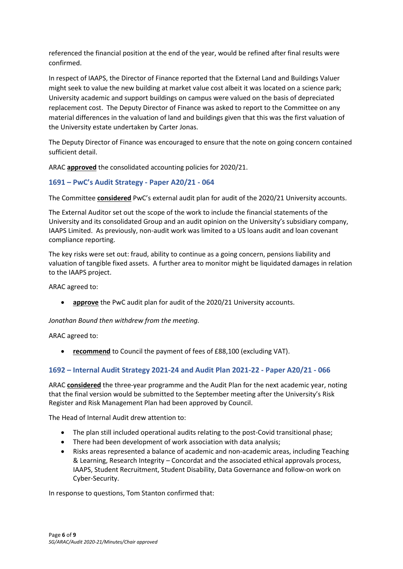referenced the financial position at the end of the year, would be refined after final results were confirmed.

In respect of IAAPS, the Director of Finance reported that the External Land and Buildings Valuer might seek to value the new building at market value cost albeit it was located on a science park; University academic and support buildings on campus were valued on the basis of depreciated replacement cost. The Deputy Director of Finance was asked to report to the Committee on any material differences in the valuation of land and buildings given that this was the first valuation of the University estate undertaken by Carter Jonas.

The Deputy Director of Finance was encouraged to ensure that the note on going concern contained sufficient detail.

ARAC **approved** the consolidated accounting policies for 2020/21.

### **1691 – PwC's Audit Strategy - Paper A20/21 - 064**

The Committee **considered** PwC's external audit plan for audit of the 2020/21 University accounts.

The External Auditor set out the scope of the work to include the financial statements of the University and its consolidated Group and an audit opinion on the University's subsidiary company, IAAPS Limited. As previously, non-audit work was limited to a US loans audit and loan covenant compliance reporting.

The key risks were set out: fraud, ability to continue as a going concern, pensions liability and valuation of tangible fixed assets. A further area to monitor might be liquidated damages in relation to the IAAPS project.

ARAC agreed to:

• **approve** the PwC audit plan for audit of the 2020/21 University accounts.

*Jonathan Bound then withdrew from the meeting.*

ARAC agreed to:

• **recommend** to Council the payment of fees of £88,100 (excluding VAT).

### **1692 – Internal Audit Strategy 2021-24 and Audit Plan 2021-22 - Paper A20/21 - 066**

ARAC **considered** the three-year programme and the Audit Plan for the next academic year, noting that the final version would be submitted to the September meeting after the University's Risk Register and Risk Management Plan had been approved by Council.

The Head of Internal Audit drew attention to:

- The plan still included operational audits relating to the post-Covid transitional phase;
- There had been development of work association with data analysis;
- Risks areas represented a balance of academic and non-academic areas, including Teaching & Learning, Research Integrity – Concordat and the associated ethical approvals process, IAAPS, Student Recruitment, Student Disability, Data Governance and follow-on work on Cyber-Security.

In response to questions, Tom Stanton confirmed that: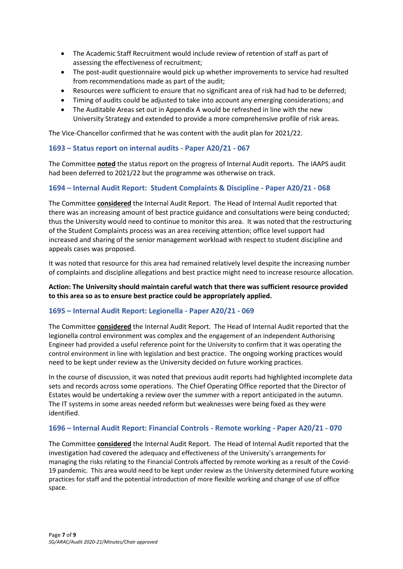- The Academic Staff Recruitment would include review of retention of staff as part of assessing the effectiveness of recruitment;
- The post-audit questionnaire would pick up whether improvements to service had resulted from recommendations made as part of the audit;
- Resources were sufficient to ensure that no significant area of risk had had to be deferred;
- Timing of audits could be adjusted to take into account any emerging considerations; and
- The Auditable Areas set out in Appendix A would be refreshed in line with the new University Strategy and extended to provide a more comprehensive profile of risk areas.

The Vice-Chancellor confirmed that he was content with the audit plan for 2021/22.

### **1693 – Status report on internal audits - Paper A20/21 - 067**

The Committee **noted** the status report on the progress of Internal Audit reports. The IAAPS audit had been deferred to 2021/22 but the programme was otherwise on track.

### **1694 – Internal Audit Report: Student Complaints & Discipline - Paper A20/21 - 068**

The Committee **considered** the Internal Audit Report. The Head of Internal Audit reported that there was an increasing amount of best practice guidance and consultations were being conducted; thus the University would need to continue to monitor this area. It was noted that the restructuring of the Student Complaints process was an area receiving attention; office level support had increased and sharing of the senior management workload with respect to student discipline and appeals cases was proposed.

It was noted that resource for this area had remained relatively level despite the increasing number of complaints and discipline allegations and best practice might need to increase resource allocation.

### **Action: The University should maintain careful watch that there was sufficient resource provided to this area so as to ensure best practice could be appropriately applied.**

### **1695 – Internal Audit Report: Legionella - Paper A20/21 - 069**

The Committee **considered** the Internal Audit Report. The Head of Internal Audit reported that the legionella control environment was complex and the engagement of an independent Authorising Engineer had provided a useful reference point for the University to confirm that it was operating the control environment in line with legislation and best practice. The ongoing working practices would need to be kept under review as the University decided on future working practices.

In the course of discussion, it was noted that previous audit reports had highlighted incomplete data sets and records across some operations. The Chief Operating Office reported that the Director of Estates would be undertaking a review over the summer with a report anticipated in the autumn. The IT systems in some areas needed reform but weaknesses were being fixed as they were identified.

### **1696 – Internal Audit Report: Financial Controls - Remote working - Paper A20/21 - 070**

The Committee **considered** the Internal Audit Report. The Head of Internal Audit reported that the investigation had covered the adequacy and effectiveness of the University's arrangements for managing the risks relating to the Financial Controls affected by remote working as a result of the Covid-19 pandemic. This area would need to be kept under review as the University determined future working practices for staff and the potential introduction of more flexible working and change of use of office space.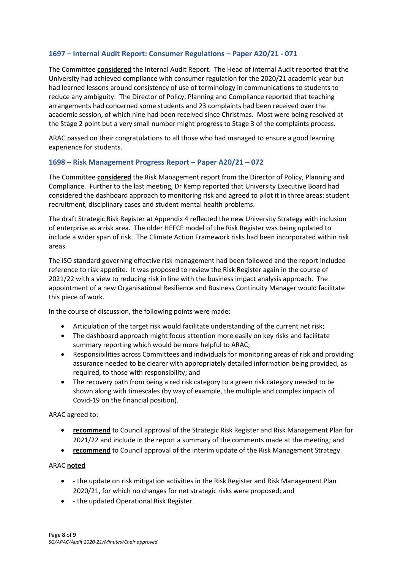### **1697 – Internal Audit Report: Consumer Regulations – Paper A20/21 - 071**

The Committee **considered** the Internal Audit Report. The Head of Internal Audit reported that the University had achieved compliance with consumer regulation for the 2020/21 academic year but had learned lessons around consistency of use of terminology in communications to students to reduce any ambiguity. The Director of Policy, Planning and Compliance reported that teaching arrangements had concerned some students and 23 complaints had been received over the academic session, of which nine had been received since Christmas. Most were being resolved at the Stage 2 point but a very small number might progress to Stage 3 of the complaints process.

ARAC passed on their congratulations to all those who had managed to ensure a good learning experience for students.

### **1698 – Risk Management Progress Report – Paper A20/21 – 072**

The Committee **considered** the Risk Management report from the Director of Policy, Planning and Compliance. Further to the last meeting, Dr Kemp reported that University Executive Board had considered the dashboard approach to monitoring risk and agreed to pilot it in three areas: student recruitment, disciplinary cases and student mental health problems.

The draft Strategic Risk Register at Appendix 4 reflected the new University Strategy with inclusion of enterprise as a risk area. The older HEFCE model of the Risk Register was being updated to include a wider span of risk. The Climate Action Framework risks had been incorporated within risk areas.

The ISO standard governing effective risk management had been followed and the report included reference to risk appetite. It was proposed to review the Risk Register again in the course of 2021/22 with a view to reducing risk in line with the business impact analysis approach. The appointment of a new Organisational Resilience and Business Continuity Manager would facilitate this piece of work.

In the course of discussion, the following points were made:

- Articulation of the target risk would facilitate understanding of the current net risk;
- The dashboard approach might focus attention more easily on key risks and facilitate summary reporting which would be more helpful to ARAC;
- Responsibilities across Committees and individuals for monitoring areas of risk and providing assurance needed to be clearer with appropriately detailed information being provided, as required, to those with responsibility; and
- The recovery path from being a red risk category to a green risk category needed to be shown along with timescales (by way of example, the multiple and complex impacts of Covid-19 on the financial position).

ARAC agreed to:

- **recommend** to Council approval of the Strategic Risk Register and Risk Management Plan for 2021/22 and include in the report a summary of the comments made at the meeting; and
- **recommend** to Council approval of the interim update of the Risk Management Strategy.

### ARAC **noted**

- - the update on risk mitigation activities in the Risk Register and Risk Management Plan 2020/21, for which no changes for net strategic risks were proposed; and
- - the updated Operational Risk Register.